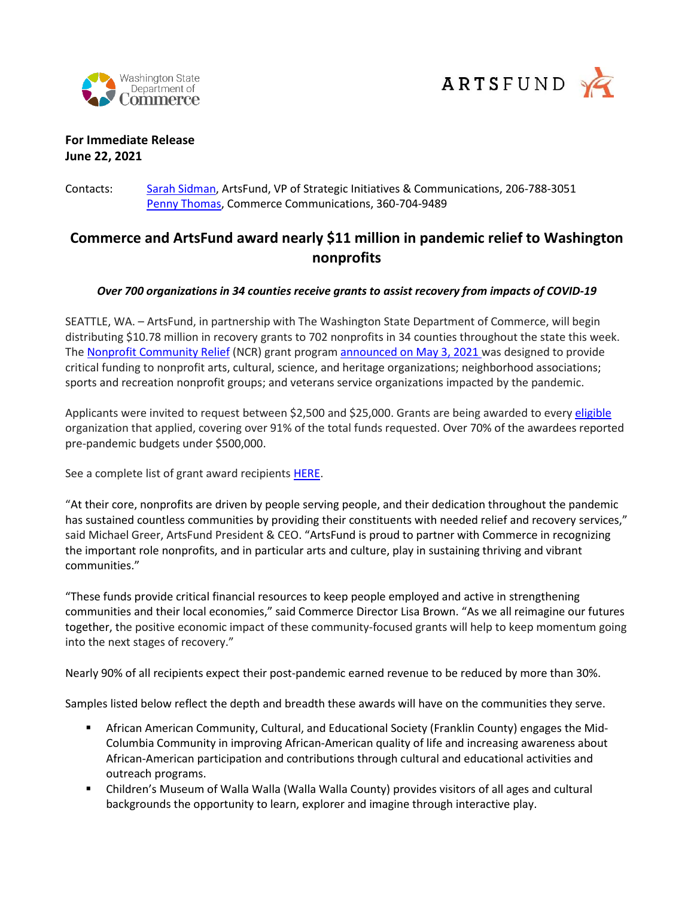



## **For Immediate Release June 22, 2021**

#### Contacts: [Sarah Sidman,](mailto:sarahsidman@artsfund.org) ArtsFund, VP of Strategic Initiatives & Communications, 206-788-3051 [Penny Thomas,](mailto:penny.thomas@commerce.wa.gov) Commerce Communications, 360-704-9489

# **Commerce and ArtsFund award nearly \$11 million in pandemic relief to Washington nonprofits**

#### *Over 700 organizations in 34 counties receive grants to assist recovery from impacts of COVID-19*

SEATTLE, WA. – ArtsFund, in partnership with The Washington State Department of Commerce, will begin distributing \$10.78 million in recovery grants to 702 nonprofits in 34 counties throughout the state this week. Th[e Nonprofit Community Relief](http://www.artsfund.org/ncrgrants) (NCR) grant progra[m announced on May 3, 2021 w](https://www.commerce.wa.gov/news-releases/commerce-and-artsfund-partner-to-offer-10-million-in-grants-to-help-nonprofit-community-organizations/)as designed to provide critical funding to nonprofit arts, cultural, science, and heritage organizations; neighborhood associations; sports and recreation nonprofit groups; and veterans service organizations impacted by the pandemic.

Applicants were invited to request between \$2,500 and \$25,000. Grants are being awarded to ever[y eligible](https://www.artsfund.org/nonprofit-community-recovery-ncr-grant-application-faq/) organization that applied, covering over 91% of the total funds requested. Over 70% of the awardees reported pre-pandemic budgets under \$500,000.

See a complete list of grant award recipients [HERE.](http://www.artsfund.org/NCRgrantees)

"At their core, nonprofits are driven by people serving people, and their dedication throughout the pandemic has sustained countless communities by providing their constituents with needed relief and recovery services," said Michael Greer, ArtsFund President & CEO. "ArtsFund is proud to partner with Commerce in recognizing the important role nonprofits, and in particular arts and culture, play in sustaining thriving and vibrant communities."

"These funds provide critical financial resources to keep people employed and active in strengthening communities and their local economies," said Commerce Director Lisa Brown. "As we all reimagine our futures together, the positive economic impact of these community-focused grants will help to keep momentum going into the next stages of recovery."

Nearly 90% of all recipients expect their post-pandemic earned revenue to be reduced by more than 30%.

Samples listed below reflect the depth and breadth these awards will have on the communities they serve.

- **E** African American Community, Cultural, and Educational Society (Franklin County) engages the Mid-Columbia Community in improving African-American quality of life and increasing awareness about African-American participation and contributions through cultural and educational activities and outreach programs.
- Children's Museum of Walla Walla (Walla Walla County) provides visitors of all ages and cultural backgrounds the opportunity to learn, explorer and imagine through interactive play.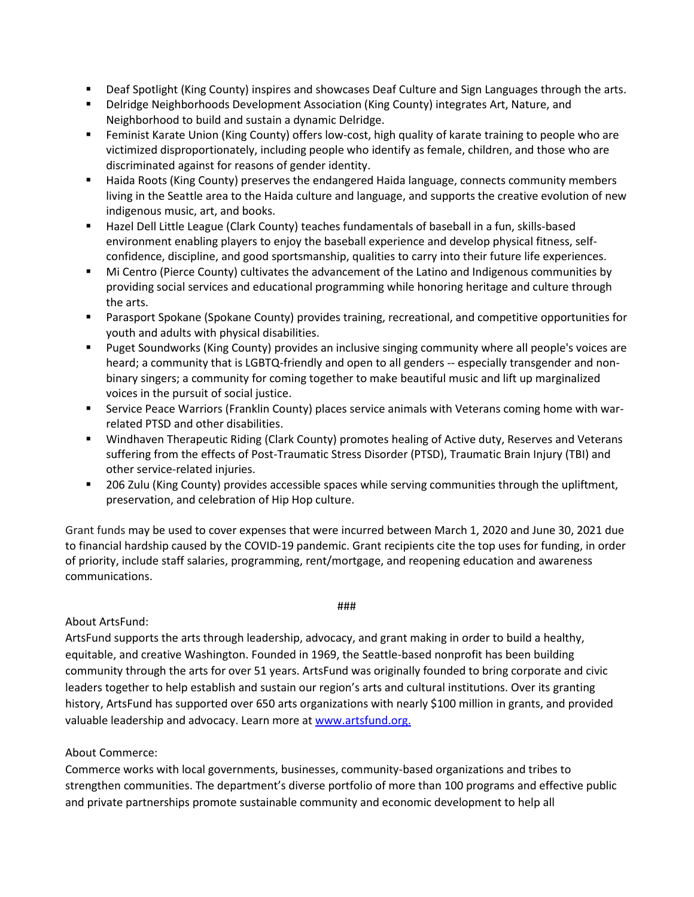- Deaf Spotlight (King County) inspires and showcases Deaf Culture and Sign Languages through the arts.
- **■** Delridge Neighborhoods Development Association (King County) integrates Art, Nature, and Neighborhood to build and sustain a dynamic Delridge.
- Feminist Karate Union (King County) offers low-cost, high quality of karate training to people who are victimized disproportionately, including people who identify as female, children, and those who are discriminated against for reasons of gender identity.
- Haida Roots (King County) preserves the endangered Haida language, connects community members living in the Seattle area to the Haida culture and language, and supports the creative evolution of new indigenous music, art, and books.
- Hazel Dell Little League (Clark County) teaches fundamentals of baseball in a fun, skills-based environment enabling players to enjoy the baseball experience and develop physical fitness, selfconfidence, discipline, and good sportsmanship, qualities to carry into their future life experiences.
- Mi Centro (Pierce County) cultivates the advancement of the Latino and Indigenous communities by providing social services and educational programming while honoring heritage and culture through the arts.
- Parasport Spokane (Spokane County) provides training, recreational, and competitive opportunities for youth and adults with physical disabilities.
- Puget Soundworks (King County) provides an inclusive singing community where all people's voices are heard; a community that is LGBTQ-friendly and open to all genders -- especially transgender and nonbinary singers; a community for coming together to make beautiful music and lift up marginalized voices in the pursuit of social justice.
- **EXECT** Service Peace Warriors (Franklin County) places service animals with Veterans coming home with warrelated PTSD and other disabilities.
- Windhaven Therapeutic Riding (Clark County) promotes healing of Active duty, Reserves and Veterans suffering from the effects of Post-Traumatic Stress Disorder (PTSD), Traumatic Brain Injury (TBI) and other service-related injuries.
- 206 Zulu (King County) provides accessible spaces while serving communities through the upliftment, preservation, and celebration of Hip Hop culture.

Grant funds may be used to cover expenses that were incurred between March 1, 2020 and June 30, 2021 due to financial hardship caused by the COVID-19 pandemic. Grant recipients cite the top uses for funding, in order of priority, include staff salaries, programming, rent/mortgage, and reopening education and awareness communications.

###

#### About ArtsFund:

ArtsFund supports the arts through leadership, advocacy, and grant making in order to build a healthy, equitable, and creative Washington. Founded in 1969, the Seattle-based nonprofit has been building community through the arts for over 51 years. ArtsFund was originally founded to bring corporate and civic leaders together to help establish and sustain our region's arts and cultural institutions. Over its granting history, ArtsFund has supported over 650 arts organizations with nearly \$100 million in grants, and provided valuable leadership and advocacy. Learn more at [www.artsfund.org.](http://www.artsfund.org/)

### About Commerce:

Commerce works with local governments, businesses, community-based organizations and tribes to strengthen communities. The department's diverse portfolio of more than 100 programs and effective public and private partnerships promote sustainable community and economic development to help all